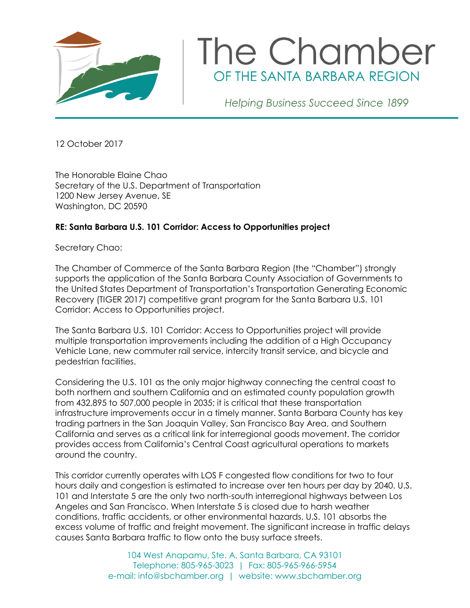

## The Chamber OF THE SANTA BARBARA REGION

Helping Business Succeed Since 1899

12 October 2017

The Honorable Elaine Chao Secretary of the U.S. Department of Transportation 1200 New Jersey Avenue, SE Washington, DC 20590

## **RE: Santa Barbara U.S. 101 Corridor: Access to Opportunities project**

Secretary Chao:

The Chamber of Commerce of the Santa Barbara Region (the "Chamber") strongly supports the application of the Santa Barbara County Association of Governments to the United States Department of Transportation's Transportation Generating Economic Recovery (TIGER 2017) competitive grant program for the Santa Barbara U.S. 101 Corridor: Access to Opportunities project.

The Santa Barbara U.S. 101 Corridor: Access to Opportunities project will provide multiple transportation improvements including the addition of a High Occupancy Vehicle Lane, new commuter rail service, intercity transit service, and bicycle and pedestrian facilities.

Considering the U.S. 101 as the only major highway connecting the central coast to both northern and southern California and an estimated county population growth from 432,895 to 507,000 people in 2035; it is critical that these transportation infrastructure improvements occur in a timely manner. Santa Barbara County has key trading partners in the San Joaquin Valley, San Francisco Bay Area, and Southern California and serves as a critical link for interregional goods movement. The corridor provides access from California's Central Coast agricultural operations to markets around the country.

This corridor currently operates with LOS F congested flow conditions for two to four hours daily and congestion is estimated to increase over ten hours per day by 2040. U.S. 101 and Interstate 5 are the only two north-south interregional highways between Los Angeles and San Francisco. When Interstate 5 is closed due to harsh weather conditions, traffic accidents, or other environmental hazards, U.S. 101 absorbs the excess volume of traffic and freight movement. The significant increase in traffic delays causes Santa Barbara traffic to flow onto the busy surface streets.